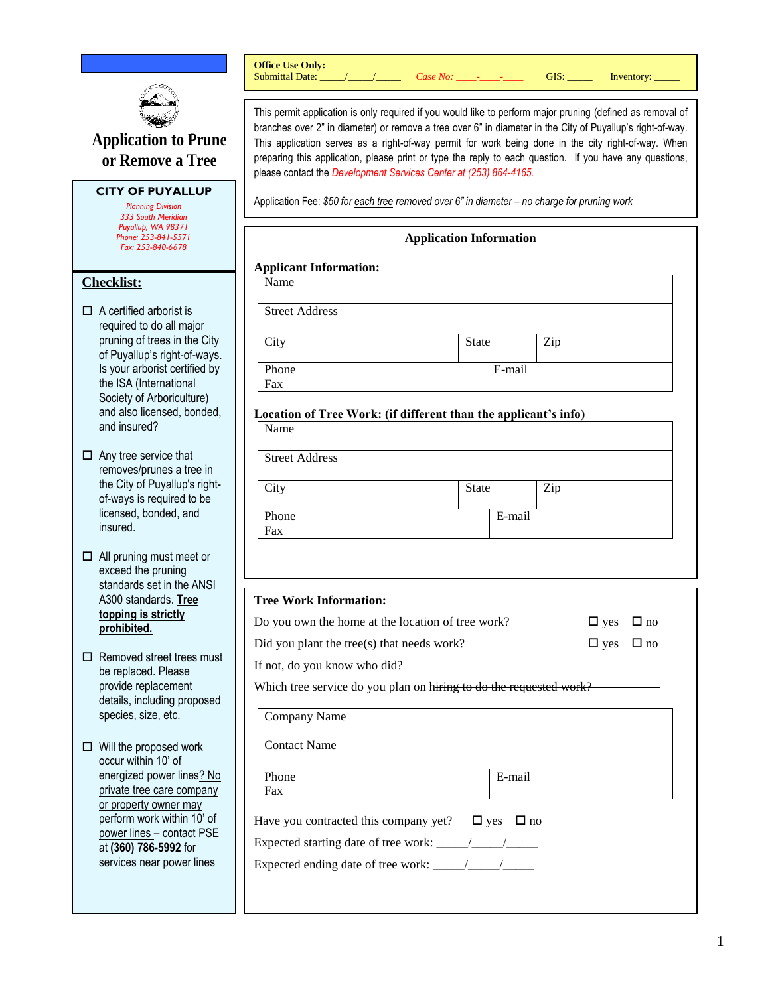

**Office Use Only:**

# **Application to Prune or Remove a Tree**

## **CITY OF PUYALLUP**

*Planning Division 333 South Meridian Puyallup, WA 98371 Phone: 253-841-5571 Fax: 253-840-6678*

## **Checklist:**

- $\Box$  A certified arborist is required to do all major pruning of trees in the City of Puyallup's right-of-ways. Is your arborist certified by the ISA (International Society of Arboriculture) and also licensed, bonded, and insured?
- $\Box$  Any tree service that removes/prunes a tree in the City of Puyallup's rightof-ways is required to be licensed, bonded, and insured.
- $\Box$  All pruning must meet or exceed the pruning standards set in the ANSI A300 standards. **Tree topping is strictly prohibited.**
- $\square$  Removed street trees must be replaced. Please provide replacement details, including proposed species, size, etc.
- $\Box$  Will the proposed work occur within 10' of energized power lines? No private tree care company or property owner may perform work within 10' of power lines – contact PSE at **(360) 786-5992** for services near power lines

This permit application is only required if you would like to perform major pruning (defined as removal of Submittal Date: \_\_\_\_\_/\_\_\_\_\_\_/ *Case No:* \_\_\_\_-\_\_\_\_\_\_ GIS: \_\_\_\_\_ Inventory:

branches over 2" in diameter) or remove a tree over 6" in diameter in the City of Puyallup's right-of-way. This application serves as a right-of-way permit for work being done in the city right-of-way. When preparing this application, please print or type the reply to each question. If you have any questions, please contact the *Development Services Center at (253) 864-4165.* 

Application Fee: *\$50 for each tree removed over 6" in diameter – no charge for pruning work* 

| <b>Application Information</b>                                               |              |        |     |  |  |  |  |
|------------------------------------------------------------------------------|--------------|--------|-----|--|--|--|--|
| <b>Applicant Information:</b>                                                |              |        |     |  |  |  |  |
| Name                                                                         |              |        |     |  |  |  |  |
| <b>Street Address</b>                                                        |              |        |     |  |  |  |  |
| City                                                                         | <b>State</b> |        | Zip |  |  |  |  |
| Phone<br>Fax                                                                 |              | E-mail |     |  |  |  |  |
| Location of Tree Work: (if different than the applicant's info)<br>Name      |              |        |     |  |  |  |  |
| <b>Street Address</b>                                                        |              |        |     |  |  |  |  |
| City                                                                         | <b>State</b> |        | Zip |  |  |  |  |
| Phone<br>Fax                                                                 |              | E-mail |     |  |  |  |  |
|                                                                              |              |        |     |  |  |  |  |
| <b>Tree Work Information:</b>                                                |              |        |     |  |  |  |  |
| Do you own the home at the location of tree work?<br>$\Box$ yes<br>$\Box$ no |              |        |     |  |  |  |  |
| Did you plant the tree(s) that needs work?<br>$\Box$ no<br>$\Box$ yes        |              |        |     |  |  |  |  |
| If not, do you know who did?                                                 |              |        |     |  |  |  |  |
| Which tree service do you plan on hiring to do the requested work?           |              |        |     |  |  |  |  |
| Company Name                                                                 |              |        |     |  |  |  |  |
| <b>Contact Name</b>                                                          |              |        |     |  |  |  |  |
| Phone<br>Fax                                                                 |              | E-mail |     |  |  |  |  |
| Have you contracted this company yet? $\square$ yes<br>$\Box$ no             |              |        |     |  |  |  |  |
|                                                                              |              |        |     |  |  |  |  |
|                                                                              |              |        |     |  |  |  |  |